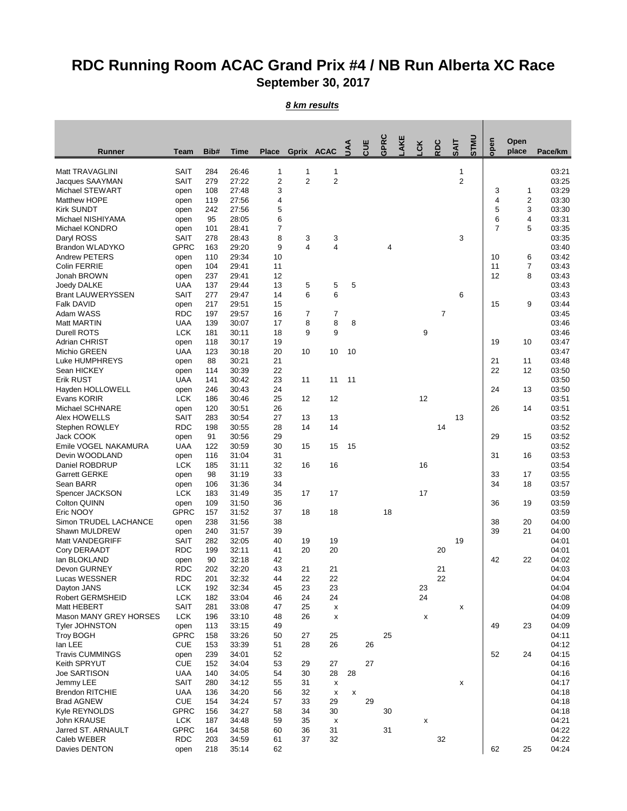## **RDC Running Room ACAC Grand Prix #4 / NB Run Alberta XC Race September 30, 2017**

*8 km results*

| <b>Runner</b>                     | <b>Team</b>               | Bib#       | <b>Time</b>    | <b>Place</b>            |                | Gprix ACAC              | <b>AAL</b> | <b>CUE</b> | GPRC | AKE | <b>CK</b>                 | RDC | <b>SAIT</b>    | <b>UNLS</b> | open | Open<br>place  | Pace/km        |
|-----------------------------------|---------------------------|------------|----------------|-------------------------|----------------|-------------------------|------------|------------|------|-----|---------------------------|-----|----------------|-------------|------|----------------|----------------|
| Matt TRAVAGLINI                   | <b>SAIT</b>               | 284        | 26:46          | 1                       | 1              | 1                       |            |            |      |     |                           |     | 1              |             |      |                | 03:21          |
| Jacques SAAYMAN                   | <b>SAIT</b>               | 279        | 27:22          | $\overline{\mathbf{c}}$ | $\overline{2}$ | $\overline{c}$          |            |            |      |     |                           |     | $\overline{2}$ |             |      |                | 03:25          |
| Michael STEWART                   | open                      | 108        | 27:48          | 3                       |                |                         |            |            |      |     |                           |     |                |             | 3    | 1              | 03:29          |
| Matthew HOPE                      | open                      | 119        | 27:56          | 4                       |                |                         |            |            |      |     |                           |     |                |             | 4    | 2              | 03:30          |
| <b>Kirk SUNDT</b>                 | open                      | 242        | 27:56          | 5                       |                |                         |            |            |      |     |                           |     |                |             | 5    | 3              | 03:30          |
| Michael NISHIYAMA                 | open                      | 95         | 28:05          | 6                       |                |                         |            |            |      |     |                           |     |                |             | 6    | 4              | 03:31          |
| Michael KONDRO                    | open                      | 101        | 28:41          | $\overline{7}$          |                |                         |            |            |      |     |                           |     |                |             | 7    | 5              | 03:35          |
| Daryl ROSS                        | <b>SAIT</b>               | 278        | 28:43          | 8                       | 3              | 3                       |            |            |      |     |                           |     | 3              |             |      |                | 03:35          |
| <b>Brandon WLADYKO</b>            | <b>GPRC</b>               | 163        | 29:20          | 9                       | $\overline{4}$ | 4                       |            |            | 4    |     |                           |     |                |             |      |                | 03:40          |
| <b>Andrew PETERS</b>              | open                      | 110        | 29:34          | 10                      |                |                         |            |            |      |     |                           |     |                |             | 10   | 6              | 03:42          |
| <b>Colin FERRIE</b>               | open                      | 104        | 29:41          | 11                      |                |                         |            |            |      |     |                           |     |                |             | 11   | $\overline{7}$ | 03:43          |
| Jonah BROWN<br>Joedy DALKE        | open<br><b>UAA</b>        | 237<br>137 | 29:41<br>29:44 | 12<br>13                |                | 5                       | 5          |            |      |     |                           |     |                |             | 12   | 8              | 03:43<br>03:43 |
| <b>Brant LAUWERYSSEN</b>          | <b>SAIT</b>               | 277        | 29:47          | 14                      | 5<br>6         | 6                       |            |            |      |     |                           |     | 6              |             |      |                | 03:43          |
| <b>Falk DAVID</b>                 | open                      | 217        | 29:51          | 15                      |                |                         |            |            |      |     |                           |     |                |             | 15   | 9              | 03:44          |
| Adam WASS                         | <b>RDC</b>                | 197        | 29:57          | 16                      | $\overline{7}$ | 7                       |            |            |      |     |                           | 7   |                |             |      |                | 03:45          |
| <b>Matt MARTIN</b>                | <b>UAA</b>                | 139        | 30:07          | 17                      | 8              | 8                       | 8          |            |      |     |                           |     |                |             |      |                | 03:46          |
| <b>Durell ROTS</b>                | <b>LCK</b>                | 181        | 30:11          | 18                      | 9              | 9                       |            |            |      |     | 9                         |     |                |             |      |                | 03:46          |
| <b>Adrian CHRIST</b>              | open                      | 118        | 30:17          | 19                      |                |                         |            |            |      |     |                           |     |                |             | 19   | 10             | 03:47          |
| Michio GREEN                      | <b>UAA</b>                | 123        | 30:18          | 20                      | 10             | 10                      | 10         |            |      |     |                           |     |                |             |      |                | 03:47          |
| <b>Luke HUMPHREYS</b>             | open                      | 88         | 30:21          | 21                      |                |                         |            |            |      |     |                           |     |                |             | 21   | 11             | 03:48          |
| Sean HICKEY                       | open                      | 114        | 30:39          | 22                      |                |                         |            |            |      |     |                           |     |                |             | 22   | 12             | 03:50          |
| <b>Erik RUST</b>                  | <b>UAA</b>                | 141        | 30:42          | 23                      | 11             | 11                      | 11         |            |      |     |                           |     |                |             |      |                | 03:50          |
| Hayden HOLLOWELL                  | open                      | 246        | 30:43          | 24                      |                |                         |            |            |      |     |                           |     |                |             | 24   | 13             | 03:50          |
| Evans KORIR                       | <b>LCK</b>                | 186        | 30:46          | 25                      | 12             | 12                      |            |            |      |     | 12                        |     |                |             |      |                | 03:51          |
| Michael SCHNARE                   | open                      | 120        | 30:51          | 26                      |                |                         |            |            |      |     |                           |     |                |             | 26   | 14             | 03:51          |
| Alex HOWELLS                      | <b>SAIT</b>               | 283        | 30:54          | 27                      | 13             | 13                      |            |            |      |     |                           |     | 13             |             |      |                | 03:52          |
| Stephen ROWLEY                    | <b>RDC</b>                | 198        | 30:55          | 28                      | 14             | 14                      |            |            |      |     |                           | 14  |                |             |      |                | 03:52          |
| Jack COOK<br>Emile VOGEL NAKAMURA | open                      | 91<br>122  | 30:56<br>30:59 | 29                      | 15             | 15                      | 15         |            |      |     |                           |     |                |             | 29   | 15             | 03:52<br>03:52 |
| Devin WOODLAND                    | <b>UAA</b>                | 116        | 31:04          | 30<br>31                |                |                         |            |            |      |     |                           |     |                |             | 31   | 16             | 03:53          |
| Daniel ROBDRUP                    | open<br><b>LCK</b>        | 185        | 31:11          | 32                      | 16             | 16                      |            |            |      |     | 16                        |     |                |             |      |                | 03:54          |
| <b>Garrett GERKE</b>              | open                      | 98         | 31:19          | 33                      |                |                         |            |            |      |     |                           |     |                |             | 33   | 17             | 03:55          |
| Sean BARR                         | open                      | 106        | 31:36          | 34                      |                |                         |            |            |      |     |                           |     |                |             | 34   | 18             | 03:57          |
| <b>Spencer JACKSON</b>            | <b>LCK</b>                | 183        | 31:49          | 35                      | 17             | 17                      |            |            |      |     | 17                        |     |                |             |      |                | 03:59          |
| <b>Colton QUINN</b>               | open                      | 109        | 31:50          | 36                      |                |                         |            |            |      |     |                           |     |                |             | 36   | 19             | 03:59          |
| Eric NOOY                         | <b>GPRC</b>               | 157        | 31:52          | 37                      | 18             | 18                      |            |            | 18   |     |                           |     |                |             |      |                | 03:59          |
| Simon TRUDEL LACHANCE             | open                      | 238        | 31:56          | 38                      |                |                         |            |            |      |     |                           |     |                |             | 38   | 20             | 04:00          |
| Shawn MULDREW                     | open                      | 240        | 31:57          | 39                      |                |                         |            |            |      |     |                           |     |                |             | 39   | 21             | 04:00          |
| Matt VANDEGRIFF                   | <b>SAIT</b>               | 282        | 32:05          | 40                      | 19             | 19                      |            |            |      |     |                           |     | 19             |             |      |                | 04:01          |
| Cory DERAADT                      | <b>RDC</b>                | 199        | 32:11          | 41                      | 20             | 20                      |            |            |      |     |                           | 20  |                |             |      |                | 04:01          |
| lan BLOKLAND                      | open                      | 90         | 32:18          | 42                      |                |                         |            |            |      |     |                           |     |                |             | 42   | 22             | 04:02          |
| Devon GURNEY                      | <b>RDC</b>                | 202        | 32:20          | 43                      | 21             | 21                      |            |            |      |     |                           | 21  |                |             |      |                | 04:03          |
| Lucas WESSNER                     | <b>RDC</b>                | 201        | 32:32          | 44                      | 22             | 22                      |            |            |      |     |                           | 22  |                |             |      |                | 04:04          |
| Dayton JANS                       | <b>LCK</b>                | 192        | 32:34          | 45                      | 23<br>24       | 23<br>24                |            |            |      |     | 23<br>24                  |     |                |             |      |                | 04:04          |
| Robert GERMSHEID<br>Matt HEBERT   | <b>LCK</b><br><b>SAIT</b> | 182<br>281 | 33:04<br>33:08 | 46<br>47                | 25             |                         |            |            |      |     |                           |     |                |             |      |                | 04:08<br>04:09 |
| Mason MANY GREY HORSES            | <b>LCK</b>                | 196        | 33:10          | 48                      | 26             | $\pmb{\mathsf{x}}$<br>X |            |            |      |     | X                         |     | X              |             |      |                | 04:09          |
| <b>Tyler JOHNSTON</b>             | open                      | 113        | 33:15          | 49                      |                |                         |            |            |      |     |                           |     |                |             | 49   | 23             | 04:09          |
| <b>Troy BOGH</b>                  | <b>GPRC</b>               | 158        | 33:26          | 50                      | 27             | 25                      |            |            | 25   |     |                           |     |                |             |      |                | 04:11          |
| lan LEE                           | <b>CUE</b>                | 153        | 33:39          | 51                      | 28             | 26                      |            | 26         |      |     |                           |     |                |             |      |                | 04:12          |
| <b>Travis CUMMINGS</b>            | open                      | 239        | 34:01          | 52                      |                |                         |            |            |      |     |                           |     |                |             | 52   | 24             | 04:15          |
| Keith SPRYUT                      | <b>CUE</b>                | 152        | 34:04          | 53                      | 29             | 27                      |            | 27         |      |     |                           |     |                |             |      |                | 04:16          |
| Joe SARTISON                      | <b>UAA</b>                | 140        | 34:05          | 54                      | 30             | 28                      | 28         |            |      |     |                           |     |                |             |      |                | 04:16          |
| Jemmy LEE                         | <b>SAIT</b>               | 280        | 34:12          | 55                      | 31             | $\pmb{\mathsf{X}}$      |            |            |      |     |                           |     | X              |             |      |                | 04:17          |
| <b>Brendon RITCHIE</b>            | <b>UAA</b>                | 136        | 34:20          | 56                      | 32             | X                       | X          |            |      |     |                           |     |                |             |      |                | 04:18          |
| <b>Brad AGNEW</b>                 | <b>CUE</b>                | 154        | 34:24          | 57                      | 33             | 29                      |            | 29         |      |     |                           |     |                |             |      |                | 04:18          |
| Kyle REYNOLDS                     | <b>GPRC</b>               | 156        | 34:27          | 58                      | 34             | 30                      |            |            | 30   |     |                           |     |                |             |      |                | 04:18          |
| John KRAUSE                       | <b>LCK</b>                | 187        | 34:48          | 59                      | 35             | X                       |            |            |      |     | $\boldsymbol{\mathsf{x}}$ |     |                |             |      |                | 04:21          |
| Jarred ST. ARNAULT                | <b>GPRC</b>               | 164        | 34:58          | 60                      | 36             | 31                      |            |            | 31   |     |                           |     |                |             |      |                | 04:22          |
| Caleb WEBER                       | <b>RDC</b>                | 203        | 34:59          | 61                      | 37             | 32                      |            |            |      |     |                           | 32  |                |             |      |                | 04:22          |
| Davies DENTON                     | open                      | 218        | 35:14          | 62                      |                |                         |            |            |      |     |                           |     |                |             | 62   | 25             | 04:24          |